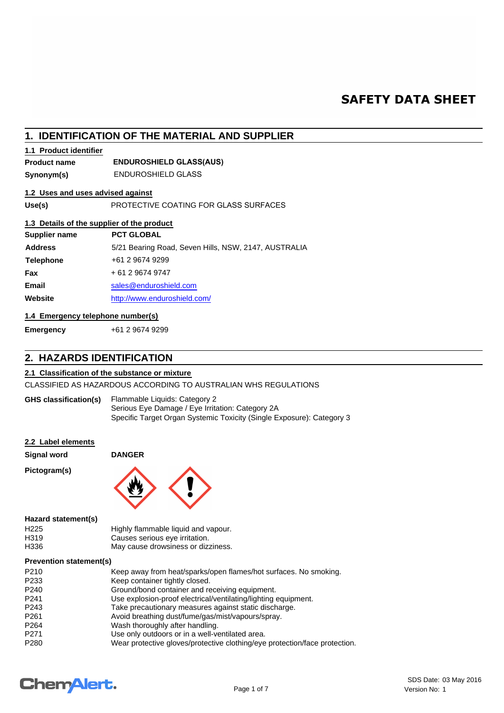# **SAFETY DATA SHEET**

# **1. IDENTIFICATION OF THE MATERIAL AND SUPPLIER**

# **1.1 Product identifier**

**Product name**

# **ENDUROSHIELD GLASS(AUS)**

**Synonym(s)** ENDUROSHIELD GLASS

# **1.2 Uses and uses advised against**

**Use(s)** PROTECTIVE COATING FOR GLASS SURFACES

# **1.3 Details of the supplier of the product**

| Supplier name    | <b>PCT GLOBAL</b>                                    |
|------------------|------------------------------------------------------|
| <b>Address</b>   | 5/21 Bearing Road, Seven Hills, NSW, 2147, AUSTRALIA |
| <b>Telephone</b> | +61 2 9674 9299                                      |
| <b>Fax</b>       | + 61 2 9674 9747                                     |
| <b>Email</b>     | sales@enduroshield.com                               |
| Website          | http://www.enduroshield.com/                         |
|                  |                                                      |

# **1.4 Emergency telephone number(s)**

**Emergency** +61 2 9674 9299

# **2. HAZARDS IDENTIFICATION**

## **2.1 Classification of the substance or mixture**

CLASSIFIED AS HAZARDOUS ACCORDING TO AUSTRALIAN WHS REGULATIONS

| <b>GHS classification(s)</b> | Flammable Liquids: Category 2                                         |
|------------------------------|-----------------------------------------------------------------------|
|                              | Serious Eye Damage / Eye Irritation: Category 2A                      |
|                              | Specific Target Organ Systemic Toxicity (Single Exposure): Category 3 |

#### **2.2 Label elements**

**Signal word DANGER**

**Pictogram(s)**



**Hazard statement(s)**

| H <sub>225</sub> | Highly flammable liquid and vapour. |
|------------------|-------------------------------------|
| H319             | Causes serious eye irritation.      |
| H336             | May cause drowsiness or dizziness.  |

#### **Prevention statement(s)**

| P210             | Keep away from heat/sparks/open flames/hot surfaces. No smoking.           |
|------------------|----------------------------------------------------------------------------|
| P233             | Keep container tightly closed.                                             |
| P240             | Ground/bond container and receiving equipment.                             |
| P241             | Use explosion-proof electrical/ventilating/lighting equipment.             |
| P243             | Take precautionary measures against static discharge.                      |
| P <sub>261</sub> | Avoid breathing dust/fume/gas/mist/vapours/spray.                          |
| P <sub>264</sub> | Wash thoroughly after handling.                                            |
| P271             | Use only outdoors or in a well-ventilated area.                            |
| P280             | Wear protective gloves/protective clothing/eye protection/face protection. |
|                  |                                                                            |

# **Chemalert.**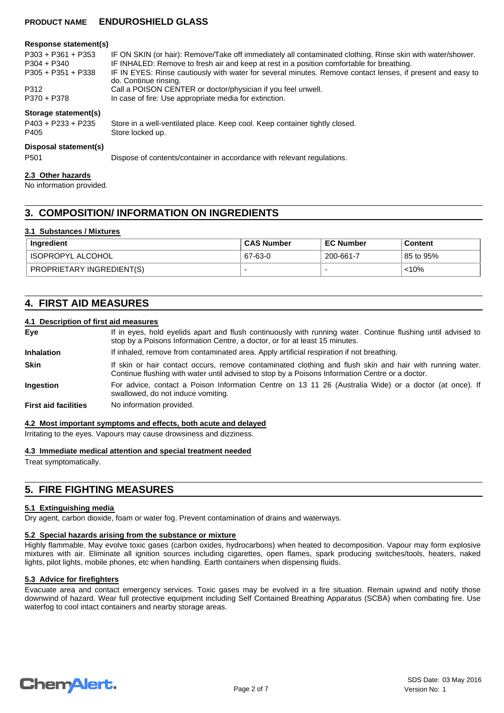| Response statement(s)                         |                                                                                                                                     |
|-----------------------------------------------|-------------------------------------------------------------------------------------------------------------------------------------|
| $P303 + P361 + P353$                          | IF ON SKIN (or hair): Remove/Take off immediately all contaminated clothing. Rinse skin with water/shower.                          |
| $P304 + P340$                                 | IF INHALED: Remove to fresh air and keep at rest in a position comfortable for breathing.                                           |
| $P305 + P351 + P338$                          | IF IN EYES: Rinse cautiously with water for several minutes. Remove contact lenses, if present and easy to<br>do. Continue rinsing. |
| P312                                          | Call a POISON CENTER or doctor/physician if you feel unwell.                                                                        |
| P370 + P378                                   | In case of fire: Use appropriate media for extinction.                                                                              |
| Storage statement(s)                          |                                                                                                                                     |
| $P403 + P233 + P235$                          | Store in a well-ventilated place. Keep cool. Keep container tightly closed.                                                         |
| P405                                          | Store locked up.                                                                                                                    |
| Disposal statement(s)                         |                                                                                                                                     |
| P <sub>501</sub>                              | Dispose of contents/container in accordance with relevant regulations.                                                              |
| 2.3 Other hazards<br>No information provided. |                                                                                                                                     |

# **3. COMPOSITION/ INFORMATION ON INGREDIENTS**

## **3.1 Substances / Mixtures**

| Ingredient                | <b>CAS Number</b> | <b>EC Number</b> | <b>Content</b> |
|---------------------------|-------------------|------------------|----------------|
| ISOPROPYL ALCOHOL         | 67-63-0           | 200-661-7        | 85 to 95%      |
| PROPRIETARY INGREDIENT(S) |                   |                  | $< 10\%$       |

# **4. FIRST AID MEASURES**

## **4.1 Description of first aid measures**

| Eye                         | If in eyes, hold eyelids apart and flush continuously with running water. Continue flushing until advised to<br>stop by a Poisons Information Centre, a doctor, or for at least 15 minutes.                 |
|-----------------------------|-------------------------------------------------------------------------------------------------------------------------------------------------------------------------------------------------------------|
| <b>Inhalation</b>           | If inhaled, remove from contaminated area. Apply artificial respiration if not breathing.                                                                                                                   |
| <b>Skin</b>                 | If skin or hair contact occurs, remove contaminated clothing and flush skin and hair with running water.<br>Continue flushing with water until advised to stop by a Poisons Information Centre or a doctor. |
| <b>Ingestion</b>            | For advice, contact a Poison Information Centre on 13 11 26 (Australia Wide) or a doctor (at once). If<br>swallowed, do not induce vomiting.                                                                |
| <b>First aid facilities</b> | No information provided.                                                                                                                                                                                    |

#### **4.2 Most important symptoms and effects, both acute and delayed**

Irritating to the eyes. Vapours may cause drowsiness and dizziness.

#### **4.3 Immediate medical attention and special treatment needed**

Treat symptomatically.

# **5. FIRE FIGHTING MEASURES**

#### **5.1 Extinguishing media**

Dry agent, carbon dioxide, foam or water fog. Prevent contamination of drains and waterways.

# **5.2 Special hazards arising from the substance or mixture**

Highly flammable. May evolve toxic gases (carbon oxides, hydrocarbons) when heated to decomposition. Vapour may form explosive mixtures with air. Eliminate all ignition sources including cigarettes, open flames, spark producing switches/tools, heaters, naked lights, pilot lights, mobile phones, etc when handling. Earth containers when dispensing fluids.

# **5.3 Advice for firefighters**

Evacuate area and contact emergency services. Toxic gases may be evolved in a fire situation. Remain upwind and notify those downwind of hazard. Wear full protective equipment including Self Contained Breathing Apparatus (SCBA) when combating fire. Use waterfog to cool intact containers and nearby storage areas.

# **ChemAlert.**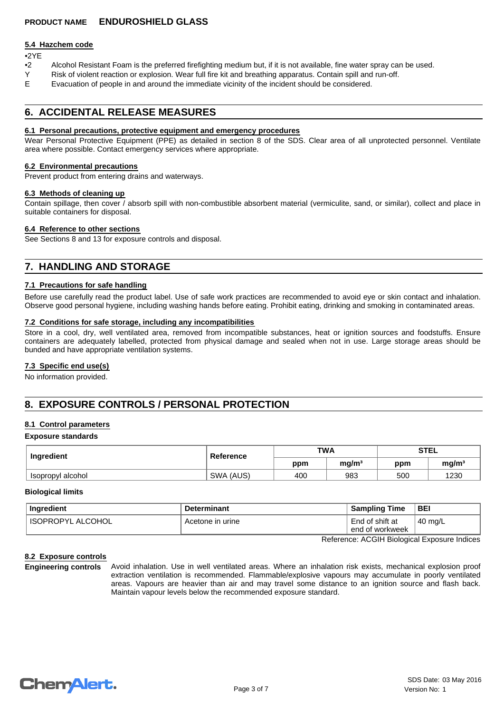## **5.4 Hazchem code**

# •2YE

- •2 Alcohol Resistant Foam is the preferred firefighting medium but, if it is not available, fine water spray can be used.
- Y Risk of violent reaction or explosion. Wear full fire kit and breathing apparatus. Contain spill and run-off.
- E Evacuation of people in and around the immediate vicinity of the incident should be considered.

# **6. ACCIDENTAL RELEASE MEASURES**

#### **6.1 Personal precautions, protective equipment and emergency procedures**

Wear Personal Protective Equipment (PPE) as detailed in section 8 of the SDS. Clear area of all unprotected personnel. Ventilate area where possible. Contact emergency services where appropriate.

#### **6.2 Environmental precautions**

Prevent product from entering drains and waterways.

#### **6.3 Methods of cleaning up**

Contain spillage, then cover / absorb spill with non-combustible absorbent material (vermiculite, sand, or similar), collect and place in suitable containers for disposal.

## **6.4 Reference to other sections**

See Sections 8 and 13 for exposure controls and disposal.

# **7. HANDLING AND STORAGE**

# **7.1 Precautions for safe handling**

Before use carefully read the product label. Use of safe work practices are recommended to avoid eye or skin contact and inhalation. Observe good personal hygiene, including washing hands before eating. Prohibit eating, drinking and smoking in contaminated areas.

## **7.2 Conditions for safe storage, including any incompatibilities**

Store in a cool, dry, well ventilated area, removed from incompatible substances, heat or ignition sources and foodstuffs. Ensure containers are adequately labelled, protected from physical damage and sealed when not in use. Large storage areas should be bunded and have appropriate ventilation systems.

# **7.3 Specific end use(s)**

No information provided.

# **8. EXPOSURE CONTROLS / PERSONAL PROTECTION**

# **8.1 Control parameters**

#### **Exposure standards**

| Ingredient        | Reference | <b>TWA</b> |                   | <b>STEL</b> |                   |
|-------------------|-----------|------------|-------------------|-------------|-------------------|
|                   |           | ppm        | mg/m <sup>3</sup> | ppm         | mq/m <sup>3</sup> |
| Isopropyl alcohol | SWA (AUS) | 400        | 983               | 500         | 1230              |

#### **Biological limits**

| Ingredient          | <b>Determinant</b> | <b>Sampling Time</b>               | <b>BEI</b>        |
|---------------------|--------------------|------------------------------------|-------------------|
| ' ISOPROPYL ALCOHOL | Acetone in urine   | End of shift at<br>end of workweek | $40 \text{ mg/L}$ |

Reference: ACGIH Biological Exposure Indices

# **8.2 Exposure controls**

**Engineering controls** Avoid inhalation. Use in well ventilated areas. Where an inhalation risk exists, mechanical explosion proof extraction ventilation is recommended. Flammable/explosive vapours may accumulate in poorly ventilated areas. Vapours are heavier than air and may travel some distance to an ignition source and flash back. Maintain vapour levels below the recommended exposure standard.

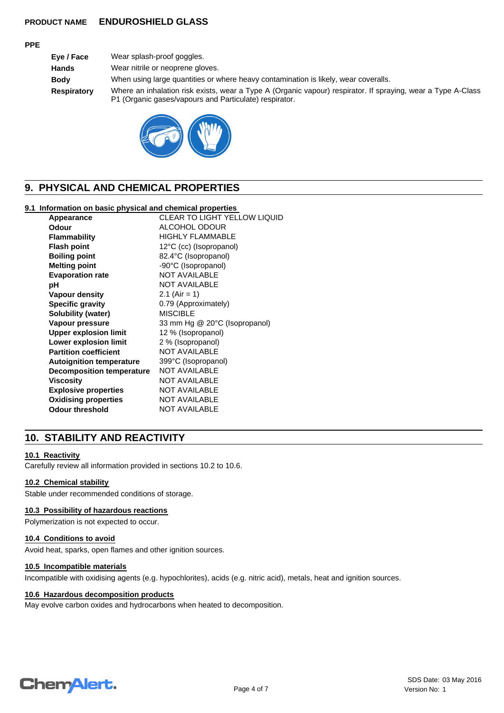# **PPE**

| Eye / Face         | Wear splash-proof goggles.                                                                                                                                             |
|--------------------|------------------------------------------------------------------------------------------------------------------------------------------------------------------------|
| <b>Hands</b>       | Wear nitrile or neoprene gloves.                                                                                                                                       |
| <b>Body</b>        | When using large quantities or where heavy contamination is likely, wear coveralls.                                                                                    |
| <b>Respiratory</b> | Where an inhalation risk exists, wear a Type A (Organic vapour) respirator. If spraying, wear a Type A-Class<br>P1 (Organic gases/vapours and Particulate) respirator. |



# **9. PHYSICAL AND CHEMICAL PROPERTIES**

# **9.1 Information on basic physical and chemical properties**

| Appearance                      | <b>CLEAR TO LIGHT YELLOW LIQUID</b> |
|---------------------------------|-------------------------------------|
| Odour                           | ALCOHOL ODOUR                       |
| <b>Flammability</b>             | <b>HIGHLY FLAMMABLE</b>             |
| <b>Flash point</b>              | 12°C (cc) (Isopropanol)             |
| <b>Boiling point</b>            | 82.4°C (Isopropanol)                |
| <b>Melting point</b>            | -90°C (Isopropanol)                 |
| <b>Evaporation rate</b>         | <b>NOT AVAILABLE</b>                |
| рH                              | <b>NOT AVAILABLE</b>                |
| Vapour density                  | 2.1 (Air = 1)                       |
| <b>Specific gravity</b>         | 0.79 (Approximately)                |
| Solubility (water)              | <b>MISCIBLE</b>                     |
| Vapour pressure                 | 33 mm Hg @ 20°C (Isopropanol)       |
| <b>Upper explosion limit</b>    | 12 % (Isopropanol)                  |
| Lower explosion limit           | 2 % (Isopropanol)                   |
| <b>Partition coefficient</b>    | <b>NOT AVAILABLE</b>                |
| <b>Autoignition temperature</b> | 399°C (Isopropanol)                 |
| Decomposition temperature       | <b>NOT AVAILABLE</b>                |
| <b>Viscosity</b>                | <b>NOT AVAILABLE</b>                |
| <b>Explosive properties</b>     | NOT AVAILABLE                       |
| <b>Oxidising properties</b>     | <b>NOT AVAILABLE</b>                |
| <b>Odour threshold</b>          | <b>NOT AVAILABLE</b>                |

# **10. STABILITY AND REACTIVITY**

# **10.1 Reactivity**

Carefully review all information provided in sections 10.2 to 10.6.

## **10.2 Chemical stability**

Stable under recommended conditions of storage.

#### **10.3 Possibility of hazardous reactions**

Polymerization is not expected to occur.

#### **10.4 Conditions to avoid**

Avoid heat, sparks, open flames and other ignition sources.

#### **10.5 Incompatible materials**

Incompatible with oxidising agents (e.g. hypochlorites), acids (e.g. nitric acid), metals, heat and ignition sources.

# **10.6 Hazardous decomposition products**

May evolve carbon oxides and hydrocarbons when heated to decomposition.

# **Chemalert.**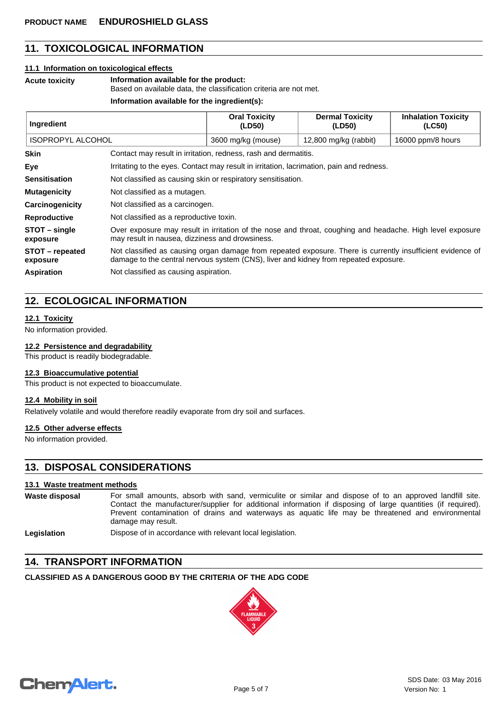# **11. TOXICOLOGICAL INFORMATION**

#### **11.1 Information on toxicological effects**

**Acute toxicity Information available for the product:**

Based on available data, the classification criteria are not met.

#### **Information available for the ingredient(s):**

| Ingredient                                                                     |                                                                                                                                                                                                    | <b>Oral Toxicity</b><br>(LD50) | <b>Dermal Toxicity</b><br>(LD50) | <b>Inhalation Toxicity</b><br>(LC50) |
|--------------------------------------------------------------------------------|----------------------------------------------------------------------------------------------------------------------------------------------------------------------------------------------------|--------------------------------|----------------------------------|--------------------------------------|
| <b>ISOPROPYL ALCOHOL</b>                                                       |                                                                                                                                                                                                    | 3600 mg/kg (mouse)             | 12,800 mg/kg (rabbit)            | 16000 ppm/8 hours                    |
| <b>Skin</b><br>Contact may result in irritation, redness, rash and dermatitis. |                                                                                                                                                                                                    |                                |                                  |                                      |
| Eye                                                                            | Irritating to the eyes. Contact may result in irritation, lacrimation, pain and redness.                                                                                                           |                                |                                  |                                      |
| <b>Sensitisation</b>                                                           | Not classified as causing skin or respiratory sensitisation.                                                                                                                                       |                                |                                  |                                      |
| <b>Mutagenicity</b>                                                            | Not classified as a mutagen.                                                                                                                                                                       |                                |                                  |                                      |
| Carcinogenicity                                                                | Not classified as a carcinogen.                                                                                                                                                                    |                                |                                  |                                      |
| <b>Reproductive</b>                                                            | Not classified as a reproductive toxin.                                                                                                                                                            |                                |                                  |                                      |
| STOT - single<br>exposure                                                      | Over exposure may result in irritation of the nose and throat, coughing and headache. High level exposure<br>may result in nausea, dizziness and drowsiness.                                       |                                |                                  |                                      |
| STOT – repeated<br>exposure                                                    | Not classified as causing organ damage from repeated exposure. There is currently insufficient evidence of<br>damage to the central nervous system (CNS), liver and kidney from repeated exposure. |                                |                                  |                                      |
| <b>Aspiration</b>                                                              | Not classified as causing aspiration.                                                                                                                                                              |                                |                                  |                                      |

# **12. ECOLOGICAL INFORMATION**

## **12.1 Toxicity**

No information provided.

## **12.2 Persistence and degradability**

This product is readily biodegradable.

#### **12.3 Bioaccumulative potential**

This product is not expected to bioaccumulate.

## **12.4 Mobility in soil**

Relatively volatile and would therefore readily evaporate from dry soil and surfaces.

### **12.5 Other adverse effects**

No information provided.

# **13. DISPOSAL CONSIDERATIONS**

#### **13.1 Waste treatment methods**

| Waste disposal | For small amounts, absorb with sand, vermiculite or similar and dispose of to an approved landfill site.<br>Contact the manufacturer/supplier for additional information if disposing of large quantities (if required).<br>Prevent contamination of drains and waterways as aquatic life may be threatened and environmental<br>damage may result. |
|----------------|-----------------------------------------------------------------------------------------------------------------------------------------------------------------------------------------------------------------------------------------------------------------------------------------------------------------------------------------------------|
| Legislation    | Dispose of in accordance with relevant local legislation.                                                                                                                                                                                                                                                                                           |

# **14. TRANSPORT INFORMATION**

# **CLASSIFIED AS A DANGEROUS GOOD BY THE CRITERIA OF THE ADG CODE**



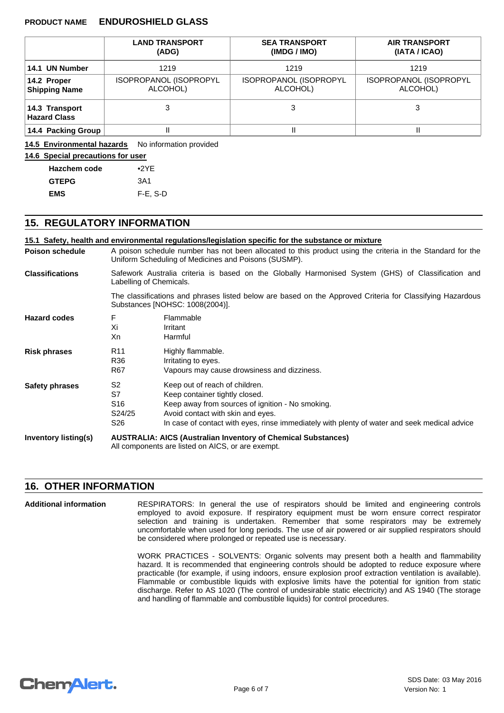|                                       | <b>LAND TRANSPORT</b><br>(ADG)     | <b>SEA TRANSPORT</b><br>(IMDG / IMO) | <b>AIR TRANSPORT</b><br>(IATA / ICAO) |  |
|---------------------------------------|------------------------------------|--------------------------------------|---------------------------------------|--|
| 14.1 UN Number                        | 1219<br>1219                       |                                      | 1219                                  |  |
| 14.2 Proper<br><b>Shipping Name</b>   | ISOPROPANOL (ISOPROPYL<br>ALCOHOL) | ISOPROPANOL (ISOPROPYL<br>ALCOHOL)   | ISOPROPANOL (ISOPROPYL<br>ALCOHOL)    |  |
| 14.3 Transport<br><b>Hazard Class</b> |                                    | 3                                    | 3                                     |  |
| 14.4 Packing Group                    |                                    | Ш                                    |                                       |  |

14.5 Environmental hazards No information provided

# **14.6 Special precautions for user**

| <b>Hazchem code</b> | $\bullet$ 2YE |
|---------------------|---------------|
| <b>GTEPG</b>        | 3A1           |
| <b>EMS</b>          | $F-E$ , S-D   |

# **15. REGULATORY INFORMATION**

|                        |                                                                                                                                                                    | 15.1 Safety, health and environmental regulations/legislation specific for the substance or mixture                                                                                                                                                       |  |  |  |
|------------------------|--------------------------------------------------------------------------------------------------------------------------------------------------------------------|-----------------------------------------------------------------------------------------------------------------------------------------------------------------------------------------------------------------------------------------------------------|--|--|--|
| <b>Poison schedule</b> | A poison schedule number has not been allocated to this product using the criteria in the Standard for the<br>Uniform Scheduling of Medicines and Poisons (SUSMP). |                                                                                                                                                                                                                                                           |  |  |  |
| <b>Classifications</b> | Safework Australia criteria is based on the Globally Harmonised System (GHS) of Classification and<br>Labelling of Chemicals.                                      |                                                                                                                                                                                                                                                           |  |  |  |
|                        | The classifications and phrases listed below are based on the Approved Criteria for Classifying Hazardous<br>Substances [NOHSC: 1008(2004)].                       |                                                                                                                                                                                                                                                           |  |  |  |
| <b>Hazard codes</b>    | F<br>Xi<br>Xn                                                                                                                                                      | Flammable<br>Irritant<br>Harmful                                                                                                                                                                                                                          |  |  |  |
| <b>Risk phrases</b>    | R <sub>11</sub><br>R36<br>R67                                                                                                                                      | Highly flammable.<br>Irritating to eyes.<br>Vapours may cause drowsiness and dizziness.                                                                                                                                                                   |  |  |  |
| Safety phrases         | S <sub>2</sub><br>S7<br>S <sub>16</sub><br>S24/25<br>S <sub>26</sub>                                                                                               | Keep out of reach of children.<br>Keep container tightly closed.<br>Keep away from sources of ignition - No smoking.<br>Avoid contact with skin and eyes.<br>In case of contact with eyes, rinse immediately with plenty of water and seek medical advice |  |  |  |
| Inventory listing(s)   | <b>AUSTRALIA: AICS (Australian Inventory of Chemical Substances)</b><br>All components are listed on AICS, or are exempt.                                          |                                                                                                                                                                                                                                                           |  |  |  |

# **16. OTHER INFORMATION**

RESPIRATORS: In general the use of respirators should be limited and engineering controls employed to avoid exposure. If respiratory equipment must be worn ensure correct respirator selection and training is undertaken. Remember that some respirators may be extremely uncomfortable when used for long periods. The use of air powered or air supplied respirators should be considered where prolonged or repeated use is necessary. **Additional information**

> WORK PRACTICES - SOLVENTS: Organic solvents may present both a health and flammability hazard. It is recommended that engineering controls should be adopted to reduce exposure where practicable (for example, if using indoors, ensure explosion proof extraction ventilation is available). Flammable or combustible liquids with explosive limits have the potential for ignition from static discharge. Refer to AS 1020 (The control of undesirable static electricity) and AS 1940 (The storage and handling of flammable and combustible liquids) for control procedures.

# **ChemAlert.**